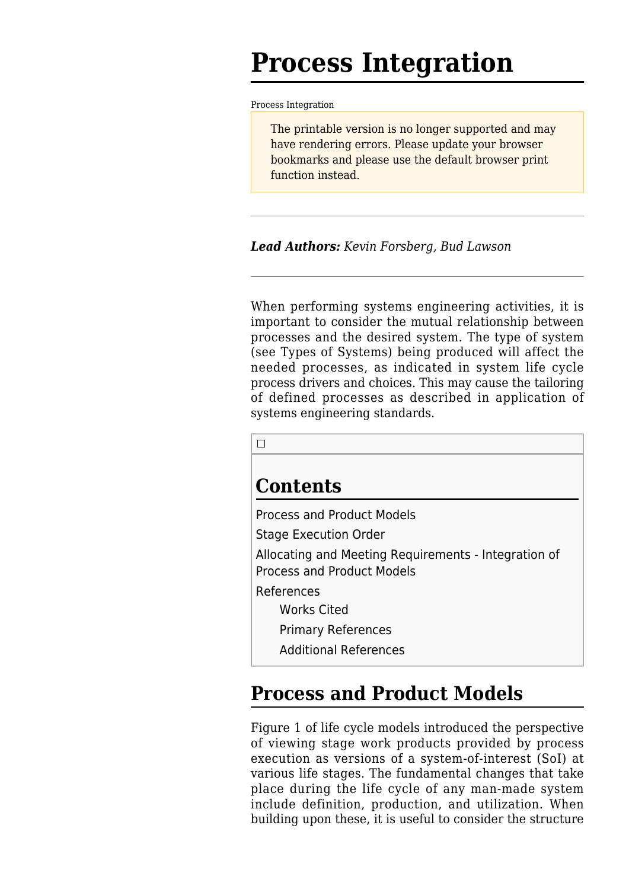# **Process Integration**

[Process Integration](http://www.sebokwiki.org/wiki/Process_Integration)

The printable version is no longer supported and may have rendering errors. Please update your browser bookmarks and please use the default browser print function instead.

*Lead Authors: Kevin Forsberg, Bud Lawson*

When performing systems engineering activities, it is important to consider the mutual relationship between processes and the desired system. The type of system (see [Types of Systems](http://www.sebokwiki.org/wiki/Types_of_Systems)) being produced will affect the needed processes, as indicated in [system life cycle](http://www.sebokwiki.org/wiki/System_Life_Cycle_Process_Drivers_and_Choices) [process drivers and choices](http://www.sebokwiki.org/wiki/System_Life_Cycle_Process_Drivers_and_Choices). This may cause the tailoring of defined processes as described in [application of](http://www.sebokwiki.org/wiki/Application_of_Systems_Engineering_Standards) [systems engineering standards](http://www.sebokwiki.org/wiki/Application_of_Systems_Engineering_Standards).

 $\Box$ **Contents** [Process and Product Models](#page--1-0) [Stage Execution Order](#page--1-0) [Allocating and Meeting Requirements - Integration of](#page--1-0) [Process and Product Models](#page--1-0) [References](#page--1-0) [Works Cited](#page--1-0) [Primary References](#page--1-0) [Additional References](#page--1-0)

## **Process and Product Models**

Figure 1 of [life cycle models](http://www.sebokwiki.org/wiki/Life_Cycle_Models) introduced the perspective of viewing stage work products provided by process execution as versions of a system-of-interest (SoI) at various life stages. The fundamental changes that take place during the life cycle of any man-made system include definition, production, and utilization. When building upon these, it is useful to consider the structure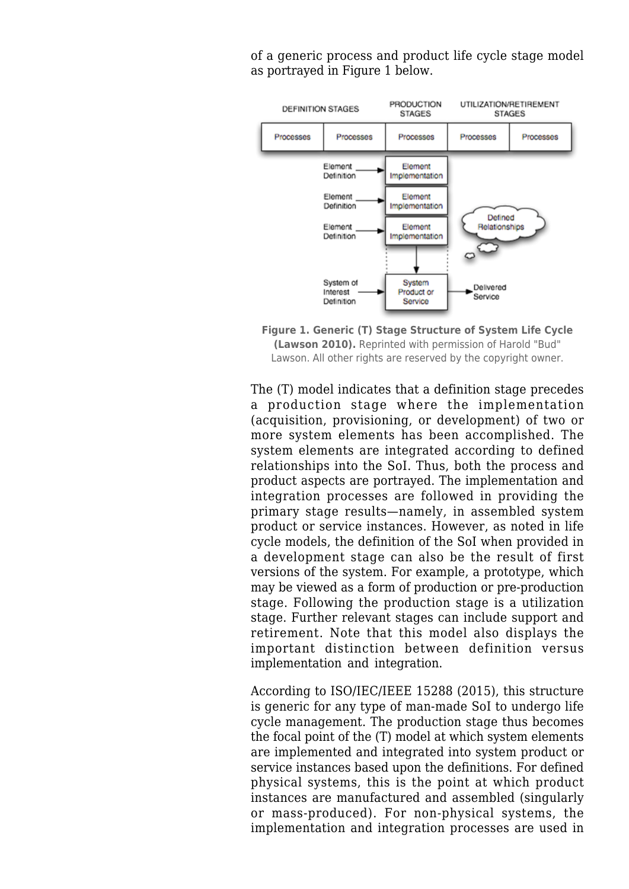of a generic process and product life cycle stage model as portrayed in Figure 1 below.



**Figure 1. Generic (T) Stage Structure of System Life Cycle (Lawson 2010).** Reprinted with permission of Harold "Bud" Lawson. All other rights are reserved by the copyright owner.

The (T) model indicates that a definition stage precedes a production stage where the implementation (acquisition, provisioning, or development) of two or more system elements has been accomplished. The system elements are integrated according to defined relationships into the SoI. Thus, both the process and product aspects are portrayed. The implementation and integration processes are followed in providing the primary stage results—namely, in assembled system product or service instances. However, as noted in [life](http://www.sebokwiki.org/wiki/Life_Cycle_Models) [cycle models,](http://www.sebokwiki.org/wiki/Life_Cycle_Models) the definition of the SoI when provided in a development stage can also be the result of first versions of the system. For example, a prototype, which may be viewed as a form of production or pre-production stage. Following the production stage is a utilization stage. Further relevant stages can include support and retirement. Note that this model also displays the important distinction between definition versus implementation and integration.

According to [ISO/IEC/IEEE 15288](http://www.sebokwiki.org/wiki/ISO/IEC/IEEE_15288) (2015), this structure is generic for any type of man-made SoI to undergo life cycle management. The production stage thus becomes the focal point of the (T) model at which system elements are implemented and integrated into system product or service instances based upon the definitions. For defined physical systems, this is the point at which product instances are manufactured and assembled (singularly or mass-produced). For non-physical systems, the implementation and integration processes are used in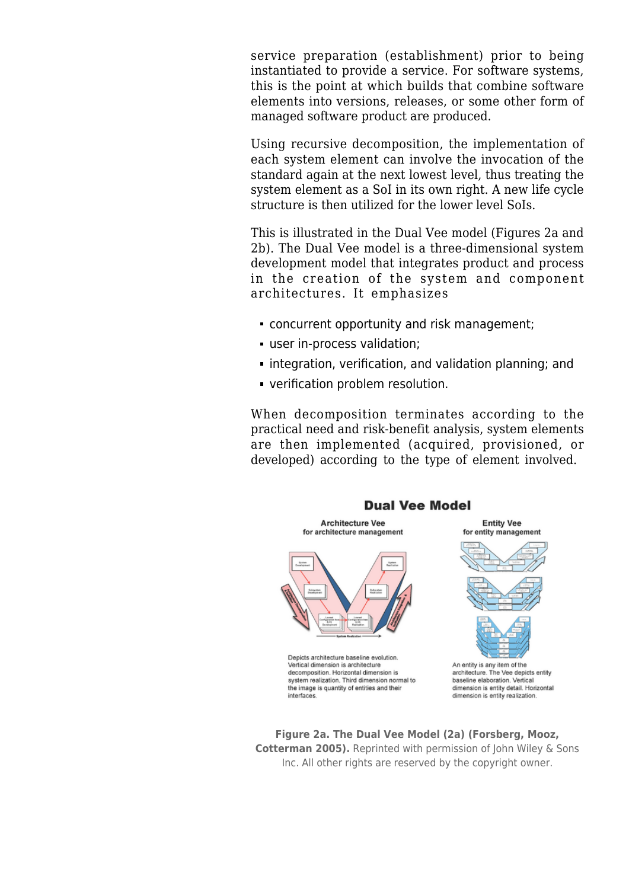service preparation (establishment) prior to being instantiated to provide a service. For software systems, this is the point at which builds that combine software elements into versions, releases, or some other form of managed software product are produced.

Using recursive decomposition, the implementation of each system element can involve the invocation of the standard again at the next lowest level, thus treating the system element as a SoI in its own right. A new life cycle structure is then utilized for the lower level SoIs.

This is illustrated in the Dual Vee model (Figures 2a and 2b). The Dual Vee model is a three-dimensional system development model that integrates product and process in the creation of the system and component architectures. It emphasizes

- concurrent opportunity and risk management;
- user in-process validation;
- integration, verification, and validation planning; and
- verification problem resolution.

When decomposition terminates according to the practical need and risk-benefit analysis, system elements are then implemented (acquired, provisioned, or developed) according to the type of element involved.



**Figure 2a. The Dual Vee Model (2a) (Forsberg, Mooz, Cotterman 2005).** Reprinted with permission of John Wiley & Sons Inc. All other rights are reserved by the copyright owner.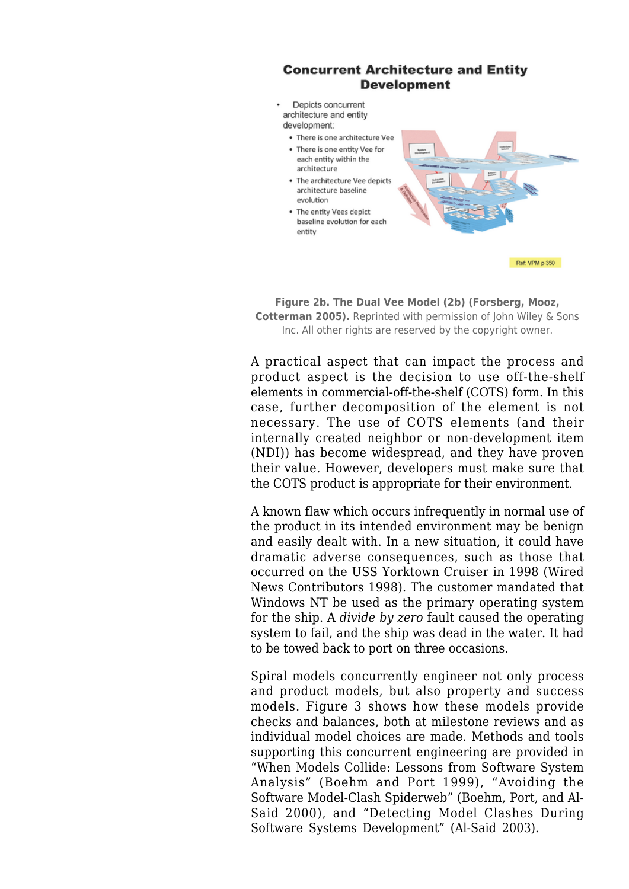### **Concurrent Architecture and Entity Development**



**Figure 2b. The Dual Vee Model (2b) (Forsberg, Mooz, Cotterman 2005).** Reprinted with permission of John Wiley & Sons Inc. All other rights are reserved by the copyright owner.

A practical aspect that can impact the process and product aspect is the decision to use off-the-shelf elements in commercial-off-the-shelf (COTS) form. In this case, further decomposition of the element is not necessary. The use of COTS elements (and their internally created neighbor or non-development item (NDI)) has become widespread, and they have proven their value. However, developers must make sure that the COTS product is appropriate for their environment.

A known flaw which occurs infrequently in normal use of the product in its intended environment may be benign and easily dealt with. In a new situation, it could have dramatic adverse consequences, such as those that occurred on the USS Yorktown Cruiser in 1998 (Wired News Contributors 1998). The customer mandated that Windows NT be used as the primary operating system for the ship. A *divide by zero* fault caused the operating system to fail, and the ship was dead in the water. It had to be towed back to port on three occasions.

Spiral models concurrently engineer not only process and product models, but also property and success models. Figure 3 shows how these models provide checks and balances, both at milestone reviews and as individual model choices are made. Methods and tools supporting this concurrent engineering are provided in "When Models Collide: Lessons from Software System Analysis" (Boehm and Port 1999), "Avoiding the Software Model-Clash Spiderweb" (Boehm, Port, and Al-Said 2000), and "Detecting Model Clashes During Software Systems Development" (Al-Said 2003).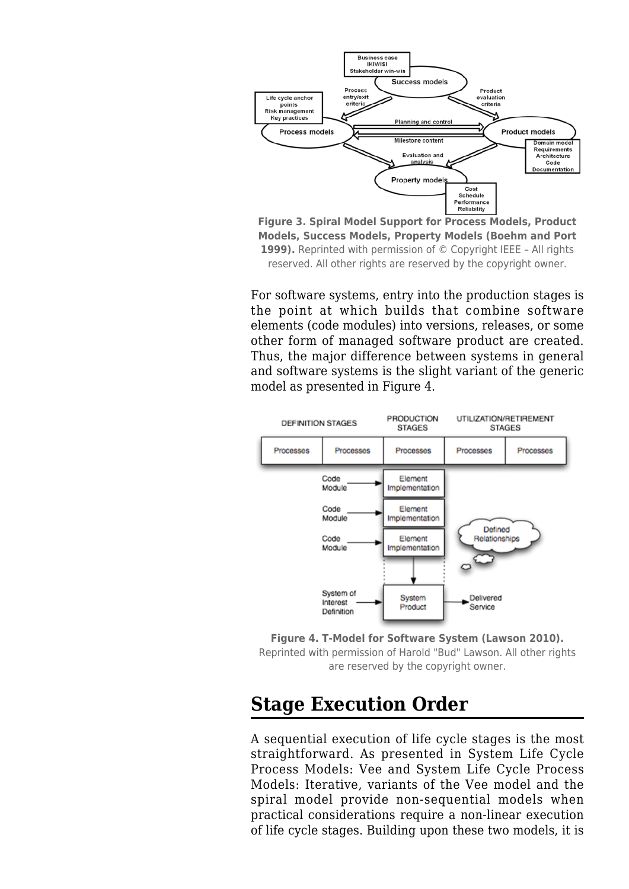

**Figure 3. Spiral Model Support for Process Models, Product Models, Success Models, Property Models (Boehm and Port 1999).** Reprinted with permission of © Copyright IEEE - All rights reserved. All other rights are reserved by the copyright owner.

For software systems, entry into the production stages is the point at which builds that combine software elements (code modules) into versions, releases, or some other form of managed software product are created. Thus, the major difference between systems in general and software systems is the slight variant of the generic model as presented in Figure 4.



**Figure 4. T-Model for Software System (Lawson 2010).** Reprinted with permission of Harold "Bud" Lawson. All other rights are reserved by the copyright owner.

## **Stage Execution Order**

A sequential execution of life cycle stages is the most straightforward. As presented in [System Life Cycle](http://www.sebokwiki.org/wiki/System_Life_Cycle_Process_Models:_Vee) [Process Models: Vee](http://www.sebokwiki.org/wiki/System_Life_Cycle_Process_Models:_Vee) and [System Life Cycle Process](http://www.sebokwiki.org/wiki/System_Life_Cycle_Process_Models:_Iterative) [Models: Iterative](http://www.sebokwiki.org/wiki/System_Life_Cycle_Process_Models:_Iterative), variants of the Vee model and the spiral model provide non-sequential models when practical considerations require a non-linear execution of life cycle stages. Building upon these two models, it is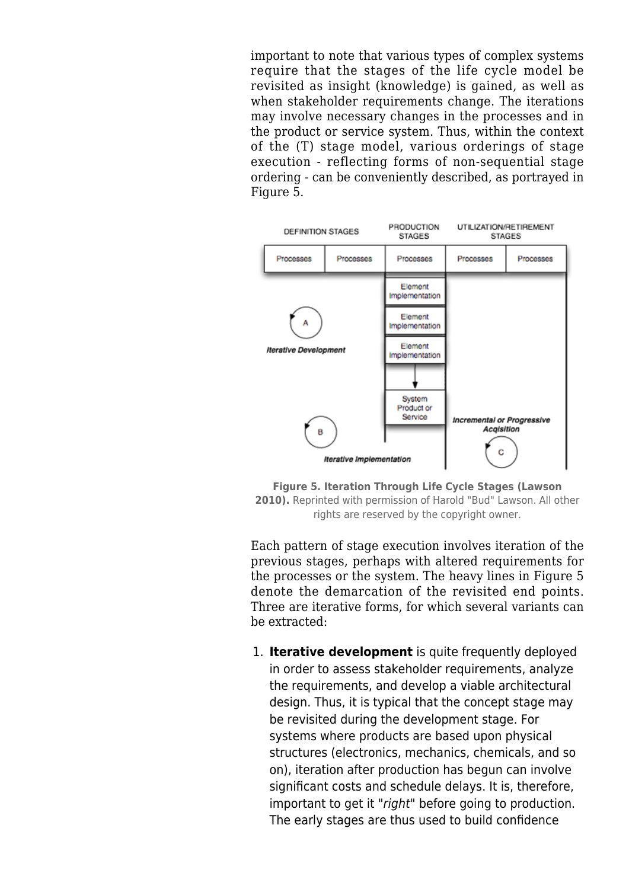important to note that various types of complex systems require that the stages of the life cycle model be revisited as insight (knowledge) is gained, as well as when stakeholder requirements change. The iterations may involve necessary changes in the processes and in the product or service system. Thus, within the context of the (T) stage model, various orderings of stage execution - reflecting forms of non-sequential stage ordering - can be conveniently described, as portrayed in Figure 5.





Each pattern of stage execution involves iteration of the previous stages, perhaps with altered requirements for the processes or the system. The heavy lines in Figure 5 denote the demarcation of the revisited end points. Three are iterative forms, for which several variants can be extracted:

1. **Iterative development** is quite frequently deployed in order to assess stakeholder requirements, analyze the requirements, and develop a viable architectural design. Thus, it is typical that the concept stage may be revisited during the development stage. For systems where products are based upon physical structures (electronics, mechanics, chemicals, and so on), iteration after production has begun can involve significant costs and schedule delays. It is, therefore, important to get it "right" before going to production. The early stages are thus used to build confidence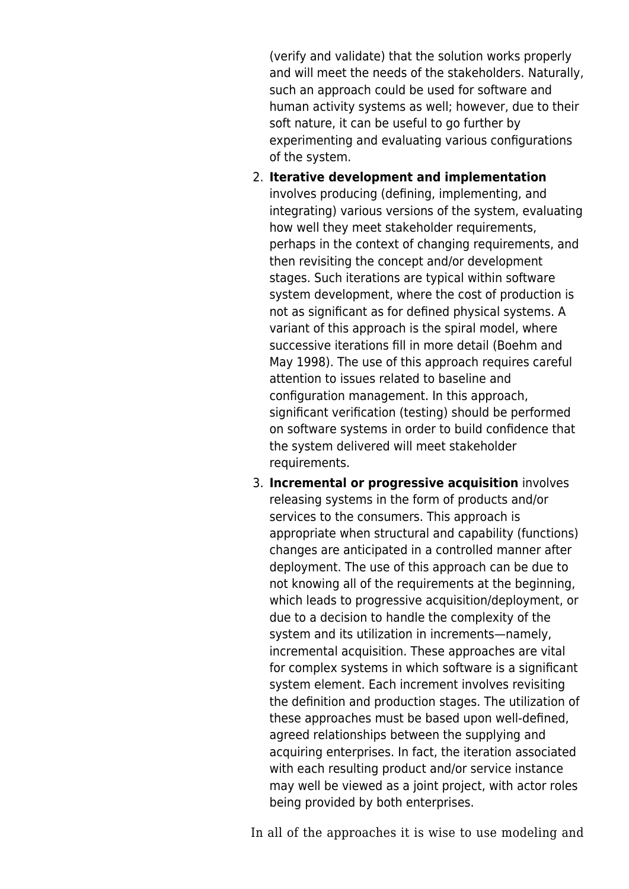(verify and validate) that the solution works properly and will meet the needs of the stakeholders. Naturally, such an approach could be used for software and human activity systems as well; however, due to their soft nature, it can be useful to go further by experimenting and evaluating various configurations of the system.

- 2. **Iterative development and implementation** involves producing (defining, implementing, and integrating) various versions of the system, evaluating how well they meet stakeholder requirements, perhaps in the context of changing requirements, and then revisiting the concept and/or development stages. Such iterations are typical within software system development, where the cost of production is not as significant as for defined physical systems. A variant of this approach is the spiral model, where successive iterations fill in more detail (Boehm and May 1998). The use of this approach requires careful attention to issues related to baseline and configuration management. In this approach, significant verification (testing) should be performed on software systems in order to build confidence that the system delivered will meet stakeholder requirements.
- 3. **Incremental or progressive acquisition** involves releasing systems in the form of products and/or services to the consumers. This approach is appropriate when structural and capability (functions) changes are anticipated in a controlled manner after deployment. The use of this approach can be due to not knowing all of the requirements at the beginning, which leads to progressive acquisition/deployment, or due to a decision to handle the complexity of the system and its utilization in increments—namely, incremental acquisition. These approaches are vital for complex systems in which software is a significant system element. Each increment involves revisiting the definition and production stages. The utilization of these approaches must be based upon well-defined, agreed relationships between the supplying and acquiring enterprises. In fact, the iteration associated with each resulting product and/or service instance may well be viewed as a joint project, with actor roles being provided by both enterprises.

In all of the approaches it is wise to use modeling and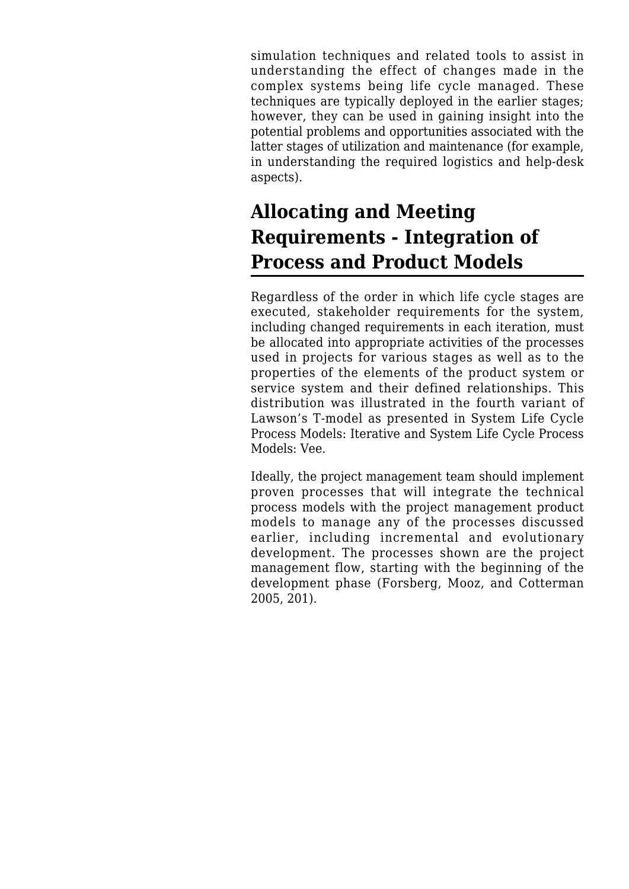simulation techniques and related tools to assist in understanding the effect of changes made in the complex systems being life cycle managed. These techniques are typically deployed in the earlier stages; however, they can be used in gaining insight into the potential problems and opportunities associated with the latter stages of utilization and maintenance (for example, in understanding the required logistics and help-desk aspects).

# **Allocating and Meeting Requirements - Integration of Process and Product Models**

Regardless of the order in which life cycle stages are executed, stakeholder requirements for the system, including changed requirements in each iteration, must be allocated into appropriate activities of the processes used in projects for various stages as well as to the properties of the elements of the product system or service system and their defined relationships. This distribution was illustrated in the fourth variant of Lawson's T-model as presented in [System Life Cycle](http://www.sebokwiki.org/wiki/System_Life_Cycle_Process_Models:_Iterative) [Process Models: Iterative](http://www.sebokwiki.org/wiki/System_Life_Cycle_Process_Models:_Iterative) and [System Life Cycle Process](http://www.sebokwiki.org/wiki/System_Life_Cycle_Process_Models:_Vee) [Models: Vee.](http://www.sebokwiki.org/wiki/System_Life_Cycle_Process_Models:_Vee)

Ideally, the project management team should implement proven processes that will integrate the technical process models with the project management product models to manage any of the processes discussed earlier, including incremental and evolutionary development. The processes shown are the project management flow, starting with the beginning of the development phase (Forsberg, Mooz, and Cotterman 2005, 201).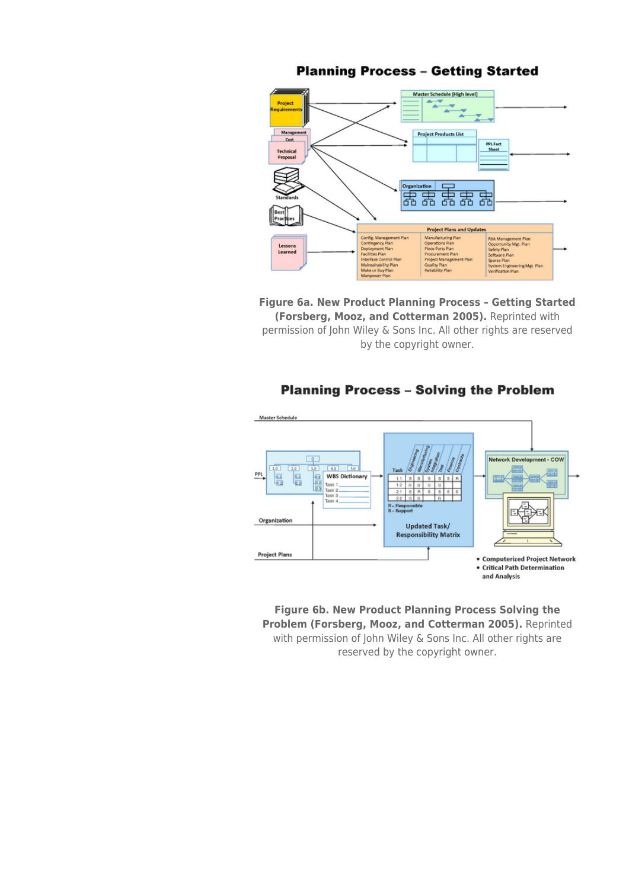### **Planning Process - Getting Started**



**Figure 6a. New Product Planning Process – Getting Started (Forsberg, Mooz, and Cotterman 2005).** Reprinted with permission of John Wiley & Sons Inc. All other rights are reserved by the copyright owner.

#### Master Schedule  $\Box$ Network Development - COW  $\begin{array}{c}\n\hline\n\text{2.0}\n\\
\hline\n\text{E1}\n\\
\hline\n\text{E2}\n\end{array}$  $10$  $\sqrt{3.0}$  $40$  $50$ Tasl B M 厘  $PPL$ ł 1321 **WBS Dictionary** 麠 圕 Task:  $21$ R 8 8 8 8  $|s|$  $22$   $S$   $S$ lask R= Respons<br>S= Support € Organization **Updated Task/ Responsibility Matrix Project Plans** · Computerized Project Network · Critical Path Determination and Analysis

**Planning Process - Solving the Problem** 

**Figure 6b. New Product Planning Process Solving the Problem (Forsberg, Mooz, and Cotterman 2005).** Reprinted with permission of John Wiley & Sons Inc. All other rights are reserved by the copyright owner.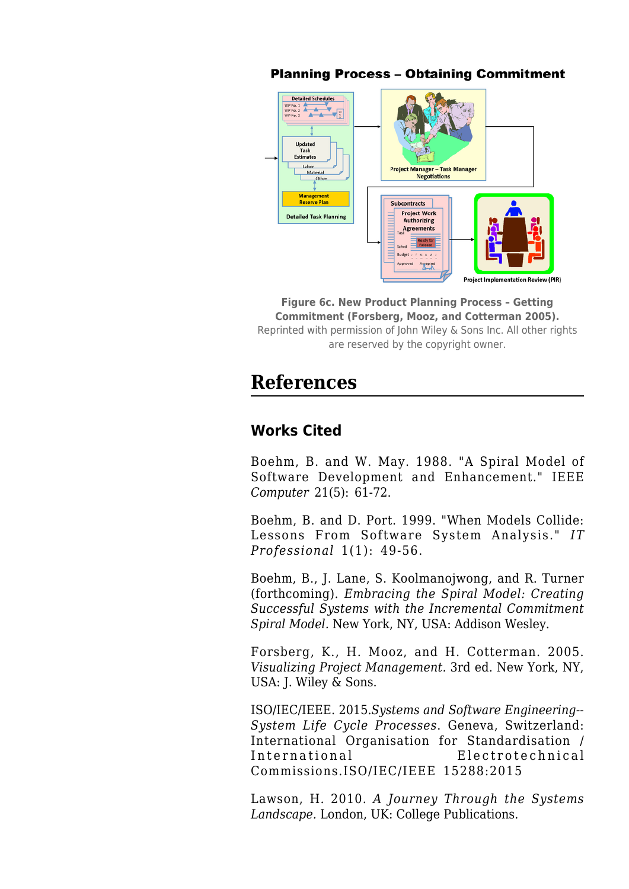# **Planning Process - Obtaining Commitment**



**Figure 6c. New Product Planning Process – Getting Commitment (Forsberg, Mooz, and Cotterman 2005).** Reprinted with permission of John Wiley & Sons Inc. All other rights are reserved by the copyright owner.

# **References**

## **Works Cited**

Boehm, B. and W. May. 1988. "A Spiral Model of Software Development and Enhancement." IEEE *Computer* 21(5): 61-72.

Boehm, B. and D. Port. 1999. "When Models Collide: Lessons From Software System Analysis." *IT Professional* 1(1): 49-56.

Boehm, B., J. Lane, S. Koolmanojwong, and R. Turner (forthcoming). *Embracing the Spiral Model: Creating Successful Systems with the Incremental Commitment Spiral Model.* New York, NY, USA: Addison Wesley.

Forsberg, K., H. Mooz, and H. Cotterman. 2005. *Visualizing Project Management.* 3rd ed. New York, NY, USA: J. Wiley & Sons.

ISO/IEC/IEEE. 2015.*[Systems and Software Engineering](http://www.sebokwiki.org/wiki/ISO/IEC/IEEE_15288)-- System Life Cycle Processes*. Geneva, Switzerland: International Organisation for Standardisation / International Electrotechnical Commissions.[ISO/IEC/IEEE 15288](http://www.sebokwiki.org/wiki/ISO/IEC/IEEE_15288):2015

Lawson, H. 2010. *A Journey Through the Systems Landscape.* London, UK: College Publications.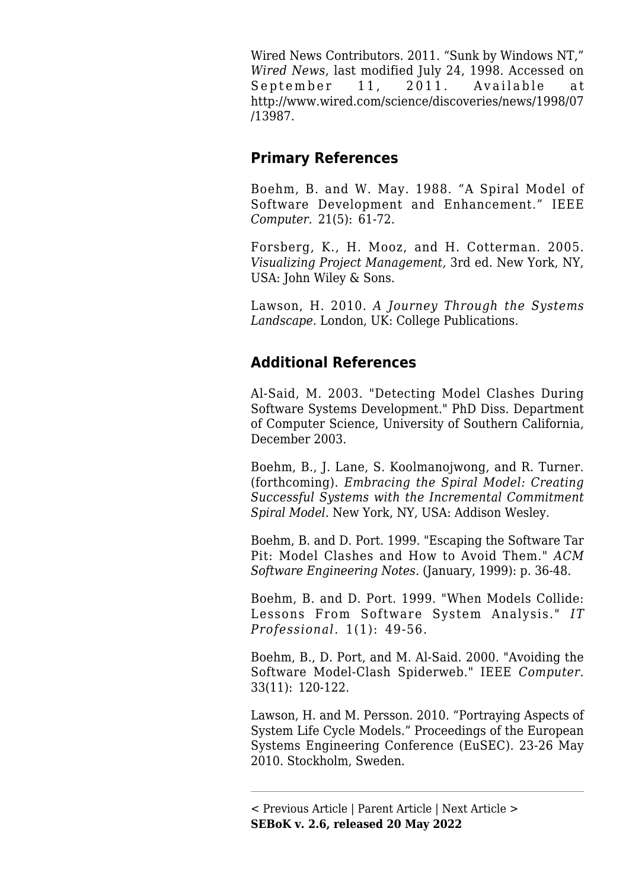Wired News Contributors. 2011. "Sunk by Windows NT," *Wired News*, last modified July 24, 1998. Accessed on September 11, 2011. Available at [http://www.wired.com/science/discoveries/news/1998/07](http://www.wired.com/science/discoveries/news/1998/07/13987) [/13987](http://www.wired.com/science/discoveries/news/1998/07/13987).

## **Primary References**

Boehm, B. and W. May. 1988. "[A Spiral Model of](http://www.sebokwiki.org/wiki/A_Spiral_Model_of_Software_Development_and_Enhancement) [Software Development and Enhancement](http://www.sebokwiki.org/wiki/A_Spiral_Model_of_Software_Development_and_Enhancement)." IEEE *Computer.* 21(5): 61-72.

Forsberg, K., H. Mooz, and H. Cotterman. 2005. *[Visualizing Project Management](http://www.sebokwiki.org/wiki/Visualizing_Project_Management),* 3rd ed. New York, NY, USA: John Wiley & Sons.

Lawson, H. 2010. *[A Journey Through the Systems](http://www.sebokwiki.org/wiki/A_Journey_Through_the_Systems_Landscape) [Landscape](http://www.sebokwiki.org/wiki/A_Journey_Through_the_Systems_Landscape).* London, UK: College Publications.

## **Additional References**

Al-Said, M. 2003. "Detecting Model Clashes During Software Systems Development." PhD Diss. Department of Computer Science, University of Southern California, December 2003.

Boehm, B., J. Lane, S. Koolmanojwong, and R. Turner. (forthcoming). *Embracing the Spiral Model: Creating Successful Systems with the Incremental Commitment Spiral Model.* New York, NY, USA: Addison Wesley.

Boehm, B. and D. Port. 1999. "Escaping the Software Tar Pit: Model Clashes and How to Avoid Them." *ACM Software Engineering Notes.* (January, 1999): p. 36-48.

Boehm, B. and D. Port. 1999. "When Models Collide: Lessons From Software System Analysis." *IT Professional.* 1(1): 49-56.

Boehm, B., D. Port, and M. Al-Said. 2000. "Avoiding the Software Model-Clash Spiderweb." IEEE *Computer.* 33(11): 120-122.

Lawson, H. and M. Persson. 2010. "Portraying Aspects of System Life Cycle Models." Proceedings of the European Systems Engineering Conference (EuSEC). 23-26 May 2010. Stockholm, Sweden.

[<sup>&</sup>lt; Previous Article](http://www.sebokwiki.org/wiki/System_Lifecycle_Process_Models:_Incremental) | [Parent Article](http://www.sebokwiki.org/wiki/System_Lifecycle_Models) | [Next Article >](http://www.sebokwiki.org/wiki/Lean_Engineering) **SEBoK v. 2.6, released 20 May 2022**